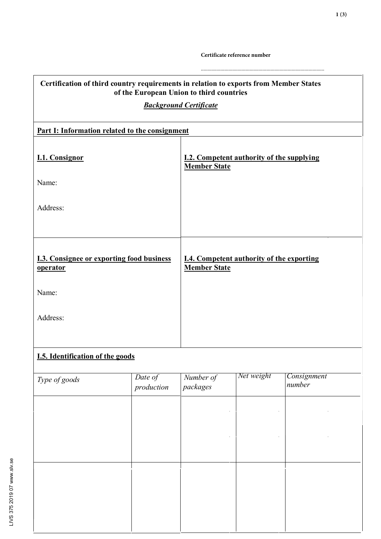Certificate reference number

| Certification of third country requirements in relation to exports from Member States<br>of the European Union to third countries |                       |                                                                         |            |                       |
|-----------------------------------------------------------------------------------------------------------------------------------|-----------------------|-------------------------------------------------------------------------|------------|-----------------------|
| <b>Background Certificate</b>                                                                                                     |                       |                                                                         |            |                       |
| Part I: Information related to the consignment                                                                                    |                       |                                                                         |            |                       |
|                                                                                                                                   |                       |                                                                         |            |                       |
| <b>I.1. Consignor</b>                                                                                                             |                       | <b>I.2. Competent authority of the supplying</b><br><b>Member State</b> |            |                       |
| Name:                                                                                                                             |                       |                                                                         |            |                       |
| Address:                                                                                                                          |                       |                                                                         |            |                       |
|                                                                                                                                   |                       |                                                                         |            |                       |
| <b>I.3. Consignee or exporting food business</b><br><u>operator</u>                                                               |                       | <b>I.4. Competent authority of the exporting</b><br><b>Member State</b> |            |                       |
| Name:                                                                                                                             |                       |                                                                         |            |                       |
| Address:                                                                                                                          |                       |                                                                         |            |                       |
|                                                                                                                                   |                       |                                                                         |            |                       |
| <b>I.5. Identification of the goods</b>                                                                                           |                       |                                                                         |            |                       |
| Type of goods                                                                                                                     | Date of<br>production | Number of<br>packages                                                   | Net weight | Consignment<br>number |
|                                                                                                                                   |                       |                                                                         |            |                       |
|                                                                                                                                   |                       |                                                                         |            |                       |
|                                                                                                                                   |                       |                                                                         |            |                       |
|                                                                                                                                   |                       |                                                                         |            |                       |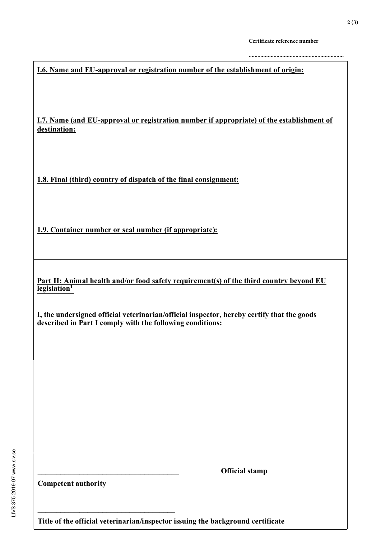**I.6. Name and EU-approval or registration number of the establishment of origin:** 

I.7. Name (and EU-approval or registration number if appropriate) of the establishment of destination:

1.8. Final (third) country of dispatch of the final consignment:

1.9. Container number or seal number (if appropriate):

Part II: Animal health and/or food safety requirement(s) of the third country beyond EU legislation<sup>1</sup>

I, the undersigned official veterinarian/official inspector, hereby certify that the goods described in Part I comply with the following conditions:

**Official stamp** 

**Competent authority** 

Title of the official veterinarian/inspector issuing the background certificate